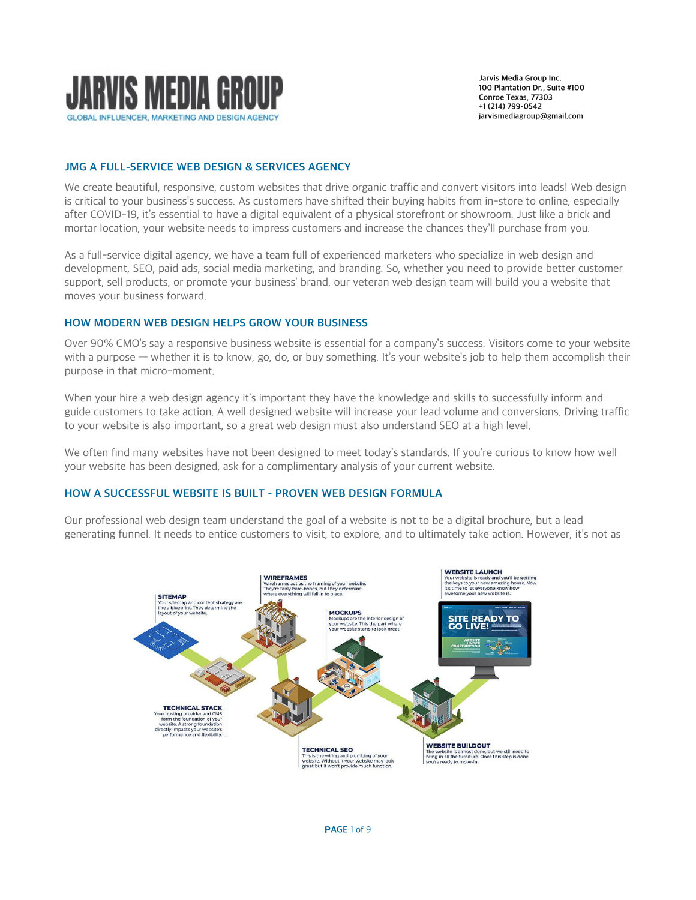

# JMG A FULL-SERVICE WEB DESIGN & SERVICES AGENCY

We create beautiful, responsive, custom websites that drive organic traffic and convert visitors into leads! Web design is critical to your business's success. As customers have shifted their buying habits from in-store to online, especially after [COVID-19,](https://www.cdc.gov/coronavirus/2019-ncov/index.html) it's essential to have a digital equivalent of a physical storefront or showroom. Just like a brick and mortar location, your website needs to impress customers and increase the chances they'll purchase from you.

As a full-service digital agency, we have a team full of experienced marketers who specialize in web design and development, [SEO,](https://www.ewrdigital.com/digital-marketing-services/seo) [paid ads,](https://www.ewrdigital.com/digital-marketing-services/paid-media) social media marketing, and branding. So, whether you need to provide better customer support, sell products, or promote your business' brand, our veteran web design team will build you a website that moves your business forward.

### HOW MODERN WEB DESIGN HELPS GROW YOUR BUSINESS

Over 90% CMO's say a responsive business website is essential for a company's success. Visitors come to your website with a purpose — whether it is to know, go, do, or buy something. It's your website's job to help them accomplish their purpose in that [micro-moment.](https://www.thinkwithgoogle.com/consumer-insights/consumer-journey/micro-moments-understand-new-consumer-behavior/)

When your hire a web design agency it's important they have the knowledge and skills to successfully inform and guide customers to take action. A well designed website will increase your lead volume and conversions. Driving traffic to your website is also important, so a great web design must also understand SEO at a high level.

We often find many websites have not been designed to meet today's standards. If you're curious to know how well your website has been designed, ask for a complimentary analysis of your current website.

# HOW A SUCCESSFUL WEBSITE IS BUILT - PROVEN WEB DESIGN FORMULA

Our professional web design team understand the goal of a website is not to be a digital brochure, but a lead generating funnel. It needs to entice customers to visit, to explore, and to ultimately take action. However, it's not as

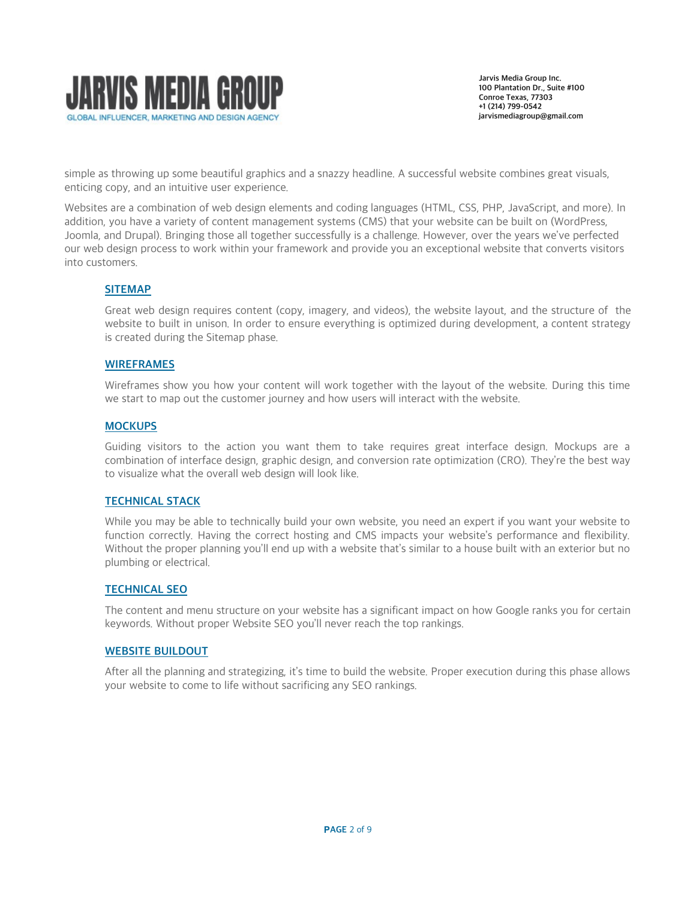

simple as throwing up some beautiful graphics and a snazzy headline. A successful website combines great visuals, enticing copy, and an intuitive user experience.

Websites are a combination of web design elements and coding languages (HTML, CSS, PHP, JavaScript, and more). In addition, you have a variety of content management systems (CMS) that your website can be built on (WordPress, Joomla, and Drupal). Bringing those all together successfully is a challenge. However, over the years we've perfected our web design process to work within your framework and provide you an exceptional website that converts visitors into customers.

# SITEMAP

Great web design requires content (copy, imagery, and videos), the website layout, and the structure of the website to built in unison. In order to ensure everything is optimized during development, a content strategy is created during the Sitemap phase.

### WIREFRAMES

Wireframes show you how your content will work together with the layout of the website. During this time we start to map out the customer journey and how users will interact with the website.

### **MOCKUPS**

Guiding visitors to the action you want them to take requires great interface design. Mockups are a combination of interface design, graphic design, and conversion rate optimization (CRO). They're the best way to visualize what the overall web design will look like.

# TECHNICAL STACK

While you may be able to technically build your own website, you need an expert if you want your website to function correctly. Having the correct hosting and CMS impacts your website's performance and flexibility. Without the proper planning you'll end up with a website that's similar to a house built with an exterior but no plumbing or electrical.

# TECHNICAL SEO

The content and menu structure on your website has a significant impact on how Google ranks you for certain keywords. Without proper [Website SEO](https://www.ewrdigital.com/digital-marketing-services/seo) you'll never reach the top rankings.

### WEBSITE BUILDOUT

After all the planning and strategizing, it's time to build the website. Proper execution during this phase allows your website to come to life without sacrificing any SEO rankings.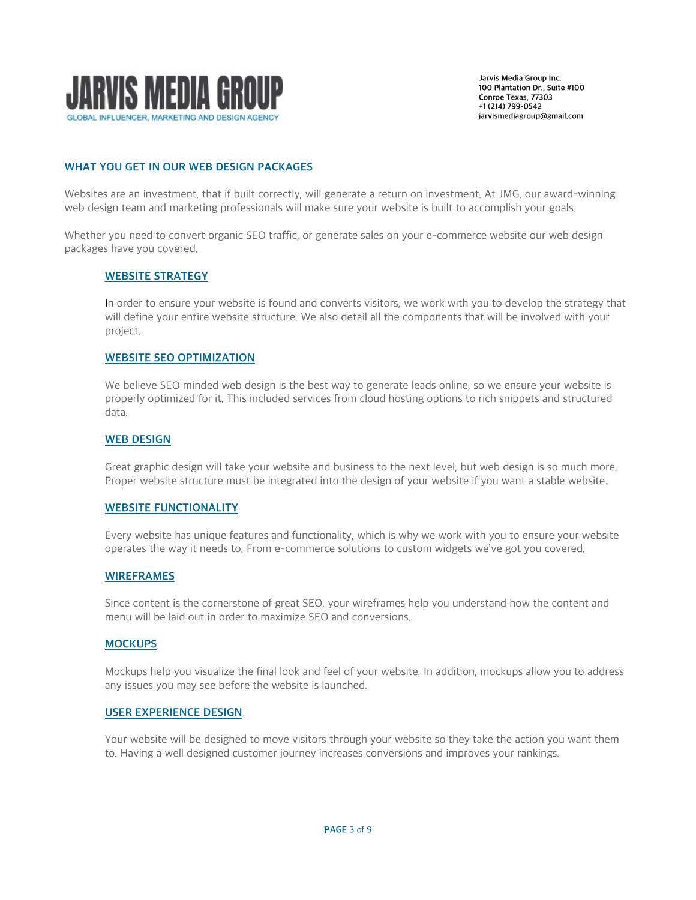

# WHAT YOU GET IN OUR WEB DESIGN PACKAGES

Websites are an investment, that if built correctly, will generate a return on investment. At JMG, our award-winning web design team and marketing professionals will make sure your website is built to accomplish your goals.

Whether you need to convert organic SEO traffic, or generate sales on your e-commerce website our web design packages have you covered.

### WEBSITE STRATEGY

In order to ensure your website is found and converts visitors, we work with you to develop the strategy that will define your entire website structure. We also detail all the components that will be involved with your project.

### WEBSITE SEO OPTIMIZATION

We believe SEO minded web design is the best way to generate leads online, so we ensure your website is properly optimized for it. This included services from cloud hosting options to rich snippets and structured data.

### WEB DESIGN

Great graphic design will take your website and business to the next level, but web design is so much more. Proper website structure must be integrated into the design of your website if you want a stable website.

### WEBSITE FUNCTIONALITY

Every website has unique features and functionality, which is why we work with you to ensure your website operates the way it needs to. From e-commerce solutions to custom widgets we've got you covered.

### WIREFRAMES

Since content is the cornerstone of great SEO, your wireframes help you understand how the content and menu will be laid out in order to maximize SEO and conversions.

### **MOCKUPS**

Mockups help you visualize the final look and feel of your website. In addition, mockups allow you to address any issues you may see before the website is launched.

### USER EXPERIENCE DESIGN

Your website will be designed to move visitors through your website so they take the action you want them to. Having a well designed customer journey increases conversions and improves your rankings.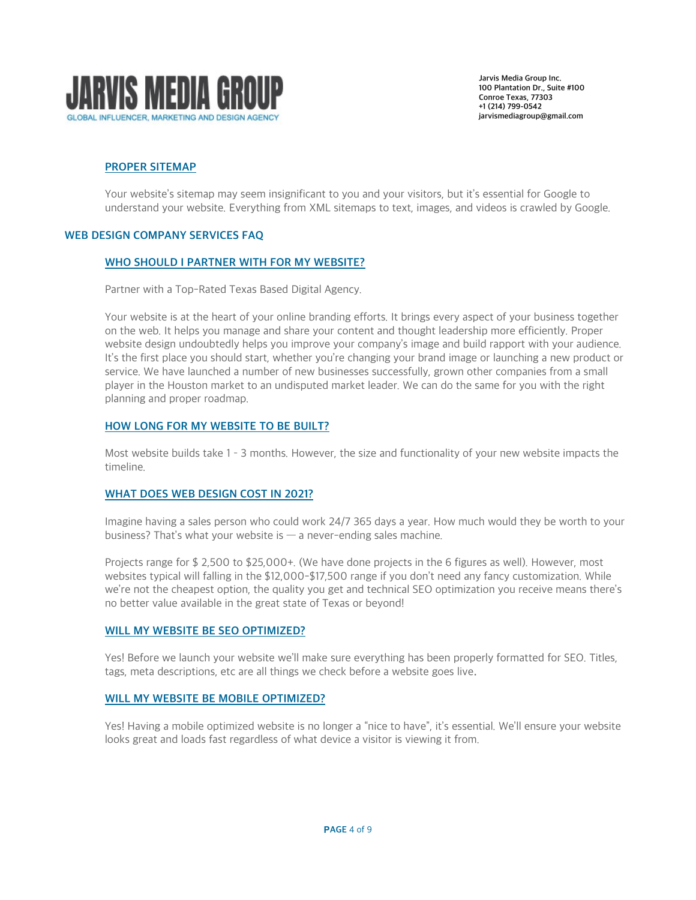

# PROPER SITEMAP

Your website's sitemap may seem insignificant to you and your visitors, but it's essential for Google to understand your website. Everything from XML sitemaps to text, images, and videos is crawled by Google.

### WEB DESIGN COMPANY SERVICES FAQ

### WHO SHOULD I PARTNER WITH FOR MY WEBSITE?

Partner with a Top-Rated Texas Based Digital Agency.

Your website is at the heart of your online branding efforts. It brings every aspect of your business together on the web. It helps you manage and share your content and thought leadership more efficiently. Proper website design undoubtedly helps you improve your company's image and build rapport with your audience. It's the first place you should start, whether you're changing your brand image or launching a new product or service. We have launched a number of new businesses successfully, grown other companies from a small player in the Houston market to an undisputed market leader. We can do the same for you with the right planning and proper roadmap.

### HOW LONG FOR MY WEBSITE TO BE BUILT?

Most website builds take 1 – 3 months. However, the size and functionality of your new website impacts the timeline.

### WHAT DOES WEB DESIGN COST IN 2021?

Imagine having a sales person who could work 24/7 365 days a year. How much would they be worth to your business? That's what your website is  $-$  a never-ending sales machine.

Projects range for \$ 2,500 to \$25,000+. (We have done projects in the 6 figures as well). However, most websites typical will falling in the \$12,000-\$17,500 range if you don't need any fancy customization. While we're not the cheapest option, the quality you get and technical SEO optimization you receive means there's no better value available in the great state of Texas or beyond!

### WILL MY WEBSITE BE SEO OPTIMIZED?

Yes! Before we launch your website we'll make sure everything has been properly formatted for SEO. Titles, tags, meta descriptions, etc are all things we check before a website goes live.

### WILL MY WEBSITE BE MOBILE OPTIMIZED?

Yes! Having a mobile optimized website is no longer a "nice to have", it's essential. We'll ensure your website looks great and loads fast regardless of what device a visitor is viewing it from.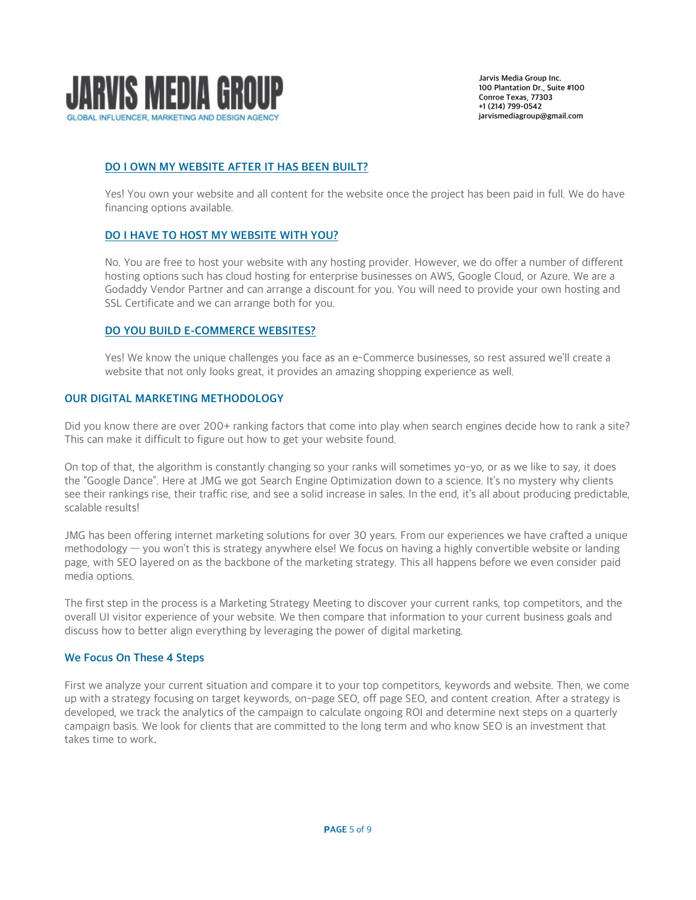

# DO I OWN MY WEBSITE AFTER IT HAS BEEN BUILT?

Yes! You own your website and all content for the website once the project has been paid in full. We do have financing options available.

# DO I HAVE TO HOST MY WEBSITE WITH YOU?

No. You are free to host your website with any hosting provider. However, we do offer a number of different hosting options such has cloud hosting for enterprise businesses on AWS, Google Cloud, or Azure. We are a Godaddy Vendor Partner and can arrange a discount for you. You will need to provide your own hosting and SSL Certificate and we can arrange both for you.

# DO YOU BUILD E-COMMERCE WEBSITES?

Yes! We know the unique challenges you face as an e-Commerce businesses, so rest assured we'll create a website that not only looks great, it provides an amazing shopping experience as well.

### OUR DIGITAL MARKETING METHODOLOGY

Did you know there are over 200+ ranking factors that come into play when search engines decide how to rank a site? This can make it difficult to figure out how to get your website found.

On top of that, the algorithm is constantly changing so your ranks will sometimes yo-yo, or as we like to say, it does the "Google Dance". Here at JMG we got [Search Engine Optimization](https://www.ewrdigital.com/digital-marketing-services/seo) down to a science. It's no mystery why clients see their rankings rise, their traffic rise, and see a solid increase in sales. In the end, it's all about producing predictable, scalable results!

JMG has been offering internet marketing solutions for over 30 years. From our experiences we have crafted a unique methodology — you won't this is strategy anywhere else! We focus on having a highly convertible website or landing page, with SEO layered on as the backbone of the marketing strategy. This all happens before we even consider paid media options.

The first step in the process is a Marketing Strategy Meeting to discover your current ranks, top competitors, and the overall UI visitor experience of your website. We then compare that information to your current business goals and discuss how to better align everything by leveraging the power of digital marketing.

# We Focus On These 4 Steps

First we analyze your current situation and compare it to your top competitors, keywords and website. Then, we come up with a strategy focusing on target keywords, on-page SEO, off page SEO, and content creation. After a strategy is developed, we track the analytics of the campaign to calculate ongoing ROI and determine next steps on a quarterly campaign basis. We look for clients that are committed to the long term and who know SEO is an investment that takes time to work.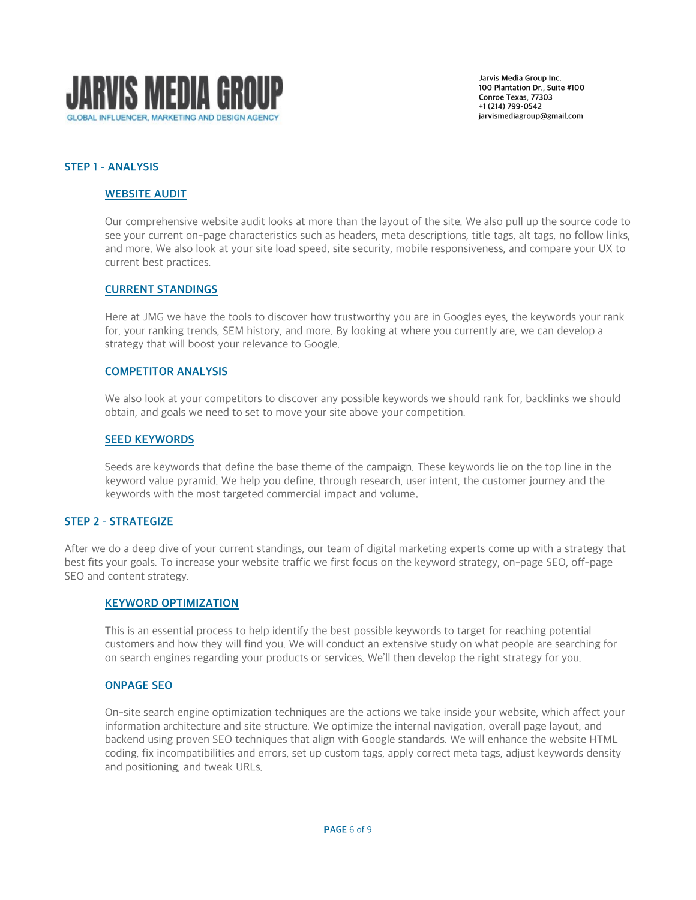

# STEP 1 - ANALYSIS

## WEBSITE AUDIT

Our comprehensive website audit looks at more than the layout of the site. We also pull up the source code to see your current on-page characteristics such as headers, meta descriptions, title tags, alt tags, no follow links, and more. We also look at your site load speed, site security, mobile responsiveness, and compare your UX to current best practices.

### CURRENT STANDINGS

Here at JMG we have the tools to discover how trustworthy you are in Googles eyes, the keywords your rank for, your ranking trends, SEM history, and more. By looking at where you currently are, we can develop a strategy that will boost your relevance to Google.

### COMPETITOR ANALYSIS

We also look at your competitors to discover any possible keywords we should rank for, backlinks we should obtain, and goals we need to set to move your site above your competition.

## **SEED KEYWORDS**

Seeds are keywords that define the base theme of the campaign. These keywords lie on the top line in the keyword value pyramid. We help you define, through research, user intent, the customer journey and the keywords with the most targeted commercial impact and volume.

### STEP 2 – STRATEGIZE

After we do a deep dive of your current standings, our team of digital marketing experts come up with a strategy that best fits your goals. To increase your website traffic we first focus on the keyword strategy, on-page SEO, off-page SEO and content strategy.

### KEYWORD OPTIMIZATION

This is an essential process to help identify the best possible keywords to target for reaching potential customers and how they will find you. We will conduct an extensive study on what people are searching for on search engines regarding your products or services. We'll then develop the right strategy for you.

# ONPAGE SEO

On-site search engine optimization techniques are the actions we take inside your website, which affect your information architecture and site structure. We optimize the internal navigation, overall page layout, and backend using proven SEO techniques that align with Google standards. We will enhance the website HTML coding, fix incompatibilities and errors, set up custom tags, apply correct meta tags, adjust keywords density and positioning, and tweak URLs.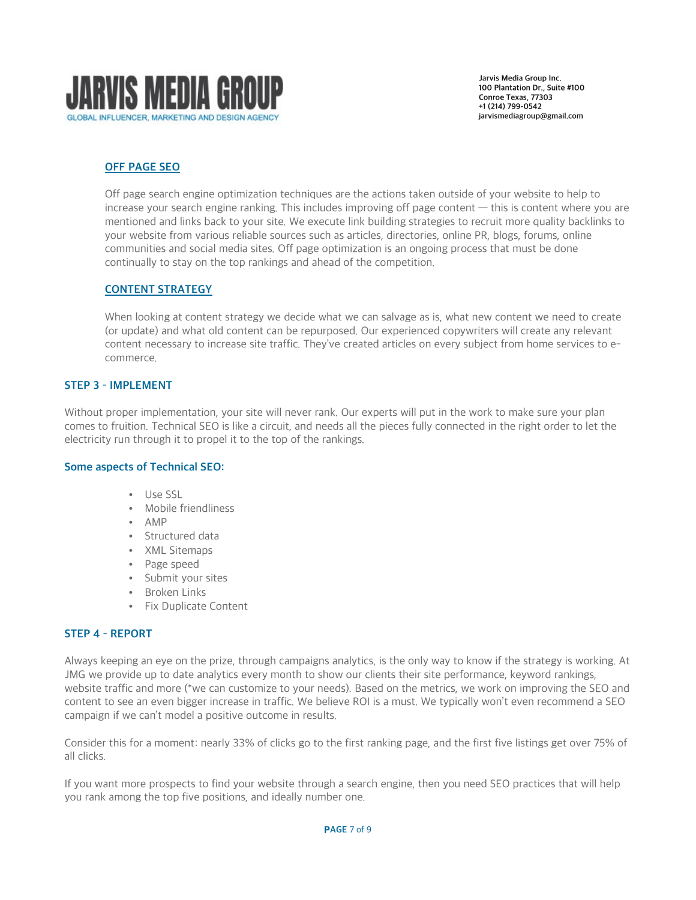

# OFF PAGE SEO

Off page search engine optimization techniques are the actions taken outside of your website to help to increase your search engine ranking. This includes improving off page content — this is content where you are mentioned and links back to your site. We execute link building strategies to recruit more quality backlinks to your website from various reliable sources such as articles, directories, online PR, blogs, forums, online communities and social media sites. Off page optimization is an ongoing process that must be done continually to stay on the top rankings and ahead of the competition.

# CONTENT STRATEGY

When looking at content strategy we decide what we can salvage as is, what new content we need to create (or update) and what old content can be repurposed. Our experienced copywriters will create any relevant content necessary to increase site traffic. They've created articles on every subject from home services to ecommerce.

# STEP 3 – IMPLEMENT

Without proper implementation, your site will never rank. Our experts will put in the work to make sure your plan comes to fruition. Technical SEO is like a circuit, and needs all the pieces fully connected in the right order to let the electricity run through it to propel it to the top of the rankings.

# Some aspects of Technical SEO:

- Use SSL
- Mobile friendliness
- AMP
- Structured data
- XML Sitemaps
- Page speed
- Submit your sites
- Broken Links
- Fix Duplicate Content

# STEP 4 – REPORT

Always keeping an eye on the prize, through campaigns analytics, is the only way to know if the strategy is working. At JMG we provide up to date analytics every month to show our clients their site performance, keyword rankings, website traffic and more (\*we can customize to your needs). Based on the metrics, we work on improving the SEO and content to see an even bigger increase in traffic. We believe ROI is a must. We typically won't even recommend a SEO campaign if we can't model a positive outcome in results.

Consider this for a moment: nearly 33% of clicks go to the first ranking page, and the first five listings get over 75% of all clicks.

If you want more prospects to find your website through a search engine, then you need SEO practices that will help you rank among the top five positions, and ideally number one.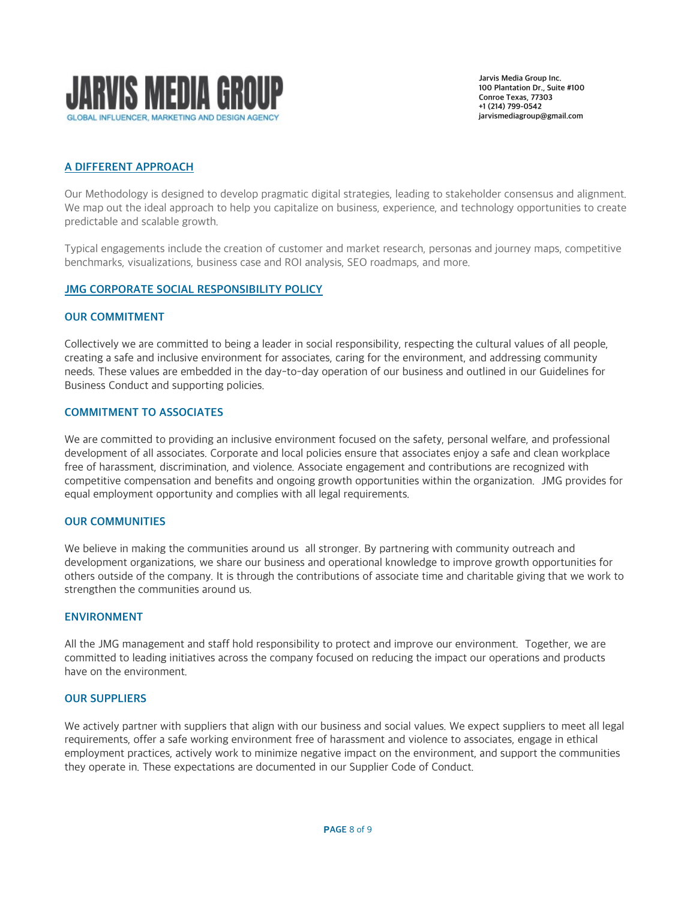

# A DIFFERENT APPROACH

Our Methodology is designed to develop pragmatic digital strategies, leading to stakeholder consensus and alignment. We map out the ideal approach to help you capitalize on business, experience, and technology opportunities to create predictable and scalable growth.

Typical engagements include the creation of customer and market research, personas and journey maps, competitive benchmarks, visualizations, business case and ROI analysis, SEO roadmaps, and more.

# JMG CORPORATE SOCIAL RESPONSIBILITY POLICY

### OUR COMMITMENT

Collectively we are committed to being a leader in social responsibility, respecting the cultural values of all people, creating a safe and inclusive environment for associates, caring for the environment, and addressing community needs. These values are embedded in the day-to-day operation of our business and outlined in our Guidelines for Business Conduct and supporting policies.

## COMMITMENT TO ASSOCIATES

We are committed to providing an inclusive environment focused on the safety, personal welfare, and professional development of all associates. Corporate and local policies ensure that associates enjoy a safe and clean workplace free of harassment, discrimination, and violence. Associate engagement and contributions are recognized with competitive compensation and benefits and ongoing growth opportunities within the organization. JMG provides for equal employment opportunity and complies with all legal requirements.

### OUR COMMUNITIES

We believe in making the communities around us all stronger. By partnering with community outreach and development organizations, we share our business and operational knowledge to improve growth opportunities for others outside of the company. It is through the contributions of associate time and charitable giving that we work to strengthen the communities around us.

### ENVIRONMENT

All the JMG management and staff hold responsibility to protect and improve our environment. Together, we are committed to leading initiatives across the company focused on reducing the impact our operations and products have on the environment.

### OUR SUPPLIERS

We actively partner with suppliers that align with our business and social values. We expect suppliers to meet all legal requirements, offer a safe working environment free of harassment and violence to associates, engage in ethical employment practices, actively work to minimize negative impact on the environment, and support the communities they operate in. These expectations are documented in our Supplier Code of Conduct.